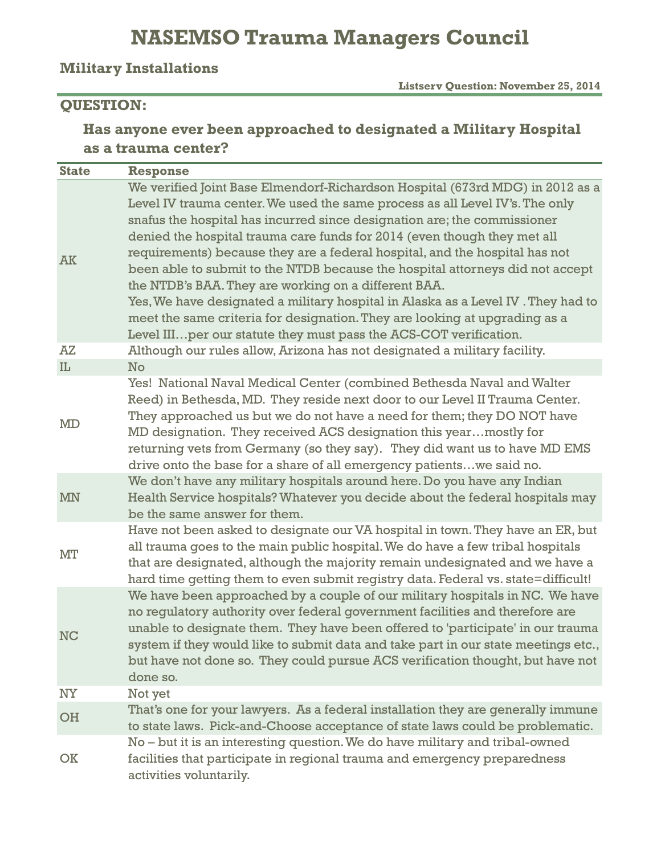## **NASEMSO Trauma Managers Council**

#### **Military Installations**

 **Listserv Question: November 25, 2014**

#### **QUESTION:**

### **Has anyone ever been approached to designated a Military Hospital as a trauma center?**

| <b>State</b> | <b>Response</b>                                                                                                                                                                                                                                                                                                                                                                                                                                                                                                                                                                                                                                                                                                                                                                        |
|--------------|----------------------------------------------------------------------------------------------------------------------------------------------------------------------------------------------------------------------------------------------------------------------------------------------------------------------------------------------------------------------------------------------------------------------------------------------------------------------------------------------------------------------------------------------------------------------------------------------------------------------------------------------------------------------------------------------------------------------------------------------------------------------------------------|
| <b>AK</b>    | We verified Joint Base Elmendorf-Richardson Hospital (673rd MDG) in 2012 as a<br>Level IV trauma center. We used the same process as all Level IV's. The only<br>snafus the hospital has incurred since designation are; the commissioner<br>denied the hospital trauma care funds for 2014 (even though they met all<br>requirements) because they are a federal hospital, and the hospital has not<br>been able to submit to the NTDB because the hospital attorneys did not accept<br>the NTDB's BAA. They are working on a different BAA.<br>Yes, We have designated a military hospital in Alaska as a Level IV . They had to<br>meet the same criteria for designation. They are looking at upgrading as a<br>Level III per our statute they must pass the ACS-COT verification. |
| ΑZ           | Although our rules allow, Arizona has not designated a military facility.                                                                                                                                                                                                                                                                                                                                                                                                                                                                                                                                                                                                                                                                                                              |
| IL           | No                                                                                                                                                                                                                                                                                                                                                                                                                                                                                                                                                                                                                                                                                                                                                                                     |
| MD           | Yes! National Naval Medical Center (combined Bethesda Naval and Walter<br>Reed) in Bethesda, MD. They reside next door to our Level II Trauma Center.<br>They approached us but we do not have a need for them; they DO NOT have<br>MD designation. They received ACS designation this yearmostly for<br>returning vets from Germany (so they say). They did want us to have MD EMS<br>drive onto the base for a share of all emergency patientswe said no.                                                                                                                                                                                                                                                                                                                            |
| <b>MN</b>    | We don't have any military hospitals around here. Do you have any Indian<br>Health Service hospitals? Whatever you decide about the federal hospitals may<br>be the same answer for them.                                                                                                                                                                                                                                                                                                                                                                                                                                                                                                                                                                                              |
| MT           | Have not been asked to designate our VA hospital in town. They have an ER, but<br>all trauma goes to the main public hospital. We do have a few tribal hospitals<br>that are designated, although the majority remain undesignated and we have a<br>hard time getting them to even submit registry data. Federal vs. state=difficult!                                                                                                                                                                                                                                                                                                                                                                                                                                                  |
| <b>NC</b>    | We have been approached by a couple of our military hospitals in NC. We have<br>no regulatory authority over federal government facilities and therefore are<br>unable to designate them. They have been offered to 'participate' in our trauma<br>system if they would like to submit data and take part in our state meetings etc.,<br>but have not done so. They could pursue ACS verification thought, but have not<br>done so.                                                                                                                                                                                                                                                                                                                                                    |
| <b>NY</b>    | Not yet                                                                                                                                                                                                                                                                                                                                                                                                                                                                                                                                                                                                                                                                                                                                                                                |
| OH           | That's one for your lawyers. As a federal installation they are generally immune<br>to state laws. Pick-and-Choose acceptance of state laws could be problematic.                                                                                                                                                                                                                                                                                                                                                                                                                                                                                                                                                                                                                      |
| OK           | No – but it is an interesting question. We do have military and tribal-owned<br>facilities that participate in regional trauma and emergency preparedness<br>activities voluntarily.                                                                                                                                                                                                                                                                                                                                                                                                                                                                                                                                                                                                   |